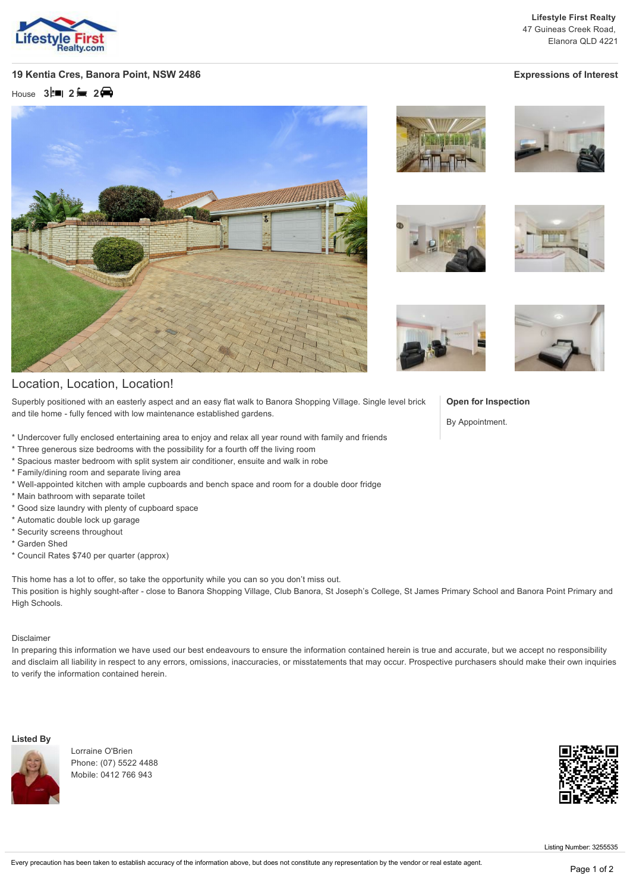

**Lifestyle First Realty** 47 Guineas Creek Road, Elanora QLD 4221

## **19 Kentia Cres, Banora Point, NSW 2486 Expressions of Interest**

House **3 2 2**



# Location, Location, Location!

Superbly positioned with an easterly aspect and an easy flat walk to Banora Shopping Village. Single level brick and tile home - fully fenced with low maintenance established gardens.

- \* Undercover fully enclosed entertaining area to enjoy and relax all year round with family and friends
- \* Three generous size bedrooms with the possibility for a fourth off the living room
- \* Spacious master bedroom with split system air conditioner, ensuite and walk in robe
- \* Family/dining room and separate living area
- \* Well-appointed kitchen with ample cupboards and bench space and room for a double door fridge
- \* Main bathroom with separate toilet
- \* Good size laundry with plenty of cupboard space
- \* Automatic double lock up garage
- \* Security screens throughout
- \* Garden Shed
- \* Council Rates \$740 per quarter (approx)

This home has a lot to offer, so take the opportunity while you can so you don't miss out. This position is highly sought-after - close to Banora Shopping Village, Club Banora, St Joseph's College, St James Primary School and Banora Point Primary and High Schools.

### Disclaimer

In preparing this information we have used our best endeavours to ensure the information contained herein is true and accurate, but we accept no responsibility and disclaim all liability in respect to any errors, omissions, inaccuracies, or misstatements that may occur. Prospective purchasers should make their own inquiries to verify the information contained herein.

#### **Listed By**



Lorraine O'Brien Phone: (07) 5522 4488 Mobile: 0412 766 943









## **Open for Inspection**

By Appointment.